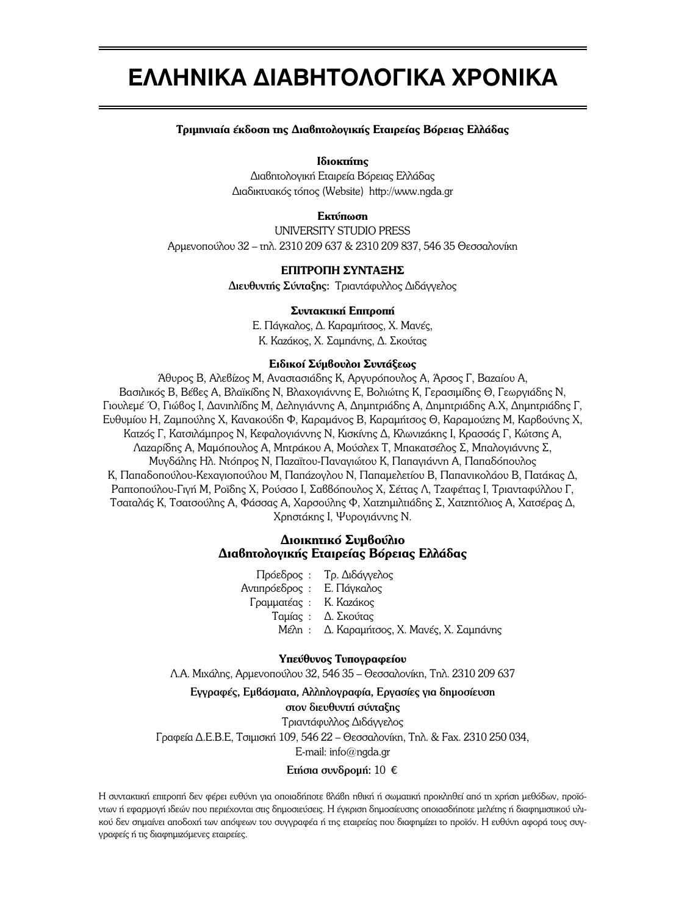# **EAAHNIKA AIABHTOAOFIKA XPONIKA**

### Tριμηνιαία έκδοση της Διαβητολογικής Εταιρείας Βόρειας Ελλάδας

## **Ιδιοκτήτης**

Διαβητολογική Εταιρεία Βόρειας Ελλάδας  $Δ$ ιαδικτυακός τόπος (Website) http://www.ngda.gr

## **E**κτύπωση

UNIVERSITY STUDIO PRESS Aρμενοπούλου 32 – τηλ. 2310 209 637 & 2310 209 837, 546 35 Θεσσαλονίκη

# **ΕΠΙΤΡΟΠΗ ΣΥΝΤΑΞΗΣ**

Διευθυντής Σύνταξης: Τριαντάφυλλος Διδάγγελος

#### Συντακτική Επιτροπή

Ε. Πάγκαλος, Δ. Καραμήτσος, Χ. Μανές, K. Καzάκος, X. Σαμπάνης, Δ. Σκούτας

## **Ειδικοί Σύμβουλοι Συντάξεως**

Άθυρος Β, Αλεβίzος Μ, Αναστασιάδης Κ, Αργυρόπουλος Α, Άρσος Γ, Βαzαίου Α, Βασιλικός Β, Βέβες Α, Βλαϊκίδης Ν, Βλαχογιάννης Ε, Βολιώτης Κ, Γερασιμίδης Θ, Γεωργιάδης Ν, Γιουλεμέ Ό, Γιώβος Ι, Δανιηλίδης Μ, Δεληγιάννης Α, Δημητριάδης Α, Δημητριάδης Α.Χ, Δημητριάδης Γ, Eυθυμίου Η, Ζαμπούλης X, Κανακούδη Φ, Καραμάνος Β, Καραμήτσος Θ, Καραμούzης Μ, Καρβούνης Χ, Κατεός Γ, Κατσιλάμπρος Ν, Κεφαλογιάννης Ν, Κισκίνης Δ, Κλωνιεάκης Ι, Κρασσάς Γ, Κώτσης Α, Λαzαρίδης Α, Μαμόπουλος Α, Μητράκου Α, Μούσλεχ Τ, Μπακατσέλος Σ, Μπαλογιάννης Σ, Μυγδάλης Ηλ. Ντόπρος Ν, Παzαϊτου-Παναγιώτου Κ, Παπαγιάννη Α, Παπαδόπουλος  $K$ , Παπαδοπούλου-Κεχαγιοπούλου Μ, Παπάzογλου Ν, Παπαμελετίου Β, Παπανικολάου Β, Πατάκας Δ, Ραπτοπούλου-Γιγή Μ, Ροΐδης Χ, Ρούσσο Ι, Σαββόπουλος Χ, Σέττας Λ, Τzαφέττας Ι, Τριανταφύλλου Γ, Τσαταλάς Κ, Τσατσούλης Α, Φάσσας Α, Χαρσούλης Φ, Χατεημιλτιάδης Σ, Χατεπτόλιος Α, Χατσέρας Δ, Χρηστάκης Ι, Ψυρογιάννης Ν.

# $\Delta$ **ΙΟΙΚΠΤΙΚΟ** Συμβούλιο **Διαβητολογικής Εταιρείας Βόρειας Ελλάδας**

Πρόεδρος : Τρ. Διδάγγελος Aντιπρόεδρος : Ε. Πάγκαλος Γραμματέας : Κ. Καzάκος Tαμίας : Δ. Σκούτας Mέλη: Δ. Καραμήτσος, Χ. Μανές, Χ. Σαμπάνης

#### Υπεύθυνος Τυπογραφείου

 $\Lambda$ . Μικάλης, Αρμενοπούλου 32, 546 35 – Θεσσαλονίκη, Τηλ. 2310 209 637

#### Eγγραφές, Eμβάσματα, Aλληλογραφία, Eργασίες για δημοσίευση

## στον διευθυντή σύνταξης

Τριαντάφυλλος Διδάγγελος  $\Gamma$ ραφεία Δ.Ε.Β.Ε, Τσιμισκή 109, 546 22 – Θεσσαλονίκη, Τηλ. & Fax. 2310 250 034,

E-mail: info@ngda.gr

#### Eτήσια συνδρομή:  $10 \in$

Η συντακτική επιτροπή δεν φέρει ευθύνη για οποιαδήποτε βλάβη ηθική ή σωματική προκληθεί από τη χρήση μεθόδων, προϊόντων ή εφαρμογή ιδεών που περιέχονται στις δημοσιεύσεις. Η έγκριση δημοσίευσης οποιασδήποτε μελέτης ή διαφημιστικού υλικού δεν σημαίνει αποδοχή των απόψεων του συγγραφέα ή της εταιρείας που διαφημίzει το προϊόν. Η ευθύνη αφορά τους συγγραφείς ή τις διαφημιzόμενες εταιρείες.